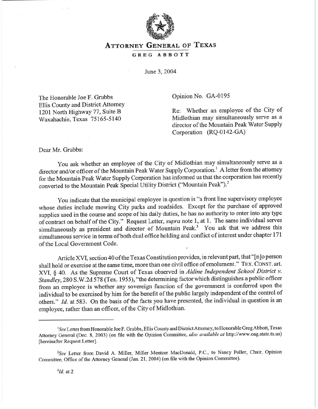

## **ATTORNEY GENERAL OF TEXAS**

## **GREG ABBOTT**

June 3,2004

The Honorable Joe F. Grubbs Ellis County and District Attorney 1201 North Highway 77, Suite B Waxahachie, Texas 75 165-5 140

Opinion No. GA-0195

Re: Whether an employee of the City of Midlothian may simultaneously serve as a director of the Mountain Peak Water Supply Corporation (RQ-0142-GA)

Dear Mr. Grubbs:

You ask whether an employee of the City of Midlothian may simultaneously serve as a director and/or officer of the Mountain Peak Water Supply Corporation.' A letter from the attorney for the Mountain Peak Water Supply Corporation has informed us that the corporation has recently converted to the Mountain Peak Special Utility District ("Mountain Peak").<sup>2</sup>

You indicate that the municipal employee in question is "a front line supervisory employee whose duties include mowing City parks and roadsides. Except for the purchase of approved supplies used in the course and scope of his daily duties, he has no authority to enter into any type of contract on behalf of the City." Request Letter, *supra* note 1, at 1. The same individual serves simultaneously as president and director of Mountain Peak.<sup>3</sup> You ask that we address this simultaneous service in terms of both dual office holding and conflict of interest under chapter 171 of the Local Government Code.

Article XVI, section 40 of the Texas Constitution provides, in relevant part, that "[n]o person shall hold or exercise at the same time, more than one civil office of emolument." **TEX. CONST. art.**  XVI, § 40. As the Supreme *Court* of Texas observed in *Aldine Independent School District v.*  Standley, 280 S.W.2d 578 (Tex. 1955), "the determining factor which distinguishes a public officer from an employee is whether any sovereign function of the government is conferred upon the individual to be exercised by him for the benefit of the public largely independent of the control of others." *Id.* at 583. On the basis of the facts you have presented, the individual in question is an employee, rather than an officer, of the City of Midlothian.

<sup>&#</sup>x27;See Letter from Honorable Joe F. Gmbbs, Ellis County and District Attorney, to Honorable Greg Abbott, Texas Attorney General (Dec. 8, 2003) (on file *with the* Opinion Committee, *also available at* http://www.oag.state.tx.us) [hereinafter Request Letter].

<sup>&</sup>lt;sup>2</sup>See Letter from David A. Miller, Miller Mentzer MacDonald, P.C., to Nancy Fuller, Chair, Opinion Committee, Office of the Attorney General (Jan. 21, 2004) (on file with the Opinion Committee).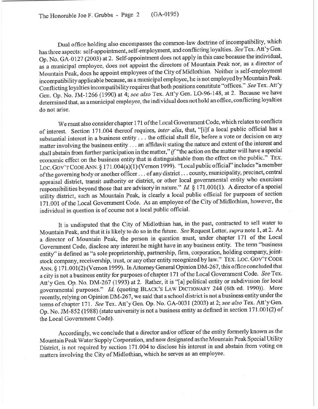Dual office holding also encompasses the common-law doctrine of incompatibility, which has three aspects: self-appointment, self-employment, and conflicting loyalties. See Tex. Att'y Gen. Op. No. GA-0127 (2003) at 2. Self-appointment does not apply in this case because the individual, as a municipal employee, does not appoint the directors of Mountain Peak nor, as a director of Mountain Peak, does he appoint employees of the City of Midlothian. Neither is self-employment incompatibility applicable because, as a municipal employee, he is not employed by Mountain Peak. Conflicting loyalties incompatibility requires that both positions constitute "offices." See Tex. Att'y Gen. Op. No. JM-1266 (1990) at 4; see *also* Tex. Att'y Gen. LO-96-148, at 2. Because we have determined that, as amunicipal employee, the individual does not hold an office, conflicting loyalties do not arise.

We must also consider chapter 171 of the Local Government Code, which relates to conflicts of interest. Section 171.004 thereof requires, *inter alia*, that, "[i]f a local public official has a substantial interest in a business entity . . . the official shall file, before a vote or decision on any matter involving the business entity . . . an affidavit stating the nature and extent of the interest and shall abstain from further participation in the matter," if "the action on the matter will have a special economic effect on the business entity that is distinguishable from the effect on the public." **TEX.**  Loc. Gov'T CODE ANN. § 171.004(a)(1) (Vernon 1999). "Local public official" includes "a member of the governing body or another officer. . . of any district . . . county, municipality, precinct, central appraisal district, transit authority or district, or other local governmental entity who exercises responsibilities beyond those that are advisory in nature. " *Id.* § 171.001(l). A director of a special utility district, such as Mountain Peak, is clearly a local public official for purposes of section 171 .OOl of the Local Government Code. As an employee of the City of Midlothian, however, the individual in question is of course not a local public official.

It is undisputed that the City of Midlothian has, in the past, contracted to sell water to Mountain Peak, and that it is likely to do so in the future. See Request Letter, *supra* note 1, at 2. As a director of Mountain Peak, the person in question must, under chapter 171 of the Local Government Code, disclose any interest he might have in any business entity. The term "business entity' is defined as "a sole proprietorship, partnership, firm, corporation, holding company, jointstock company, receivership, trust, or any other entity recognized by law." TEX. LOC. GOV'T CODE ANN. § 171.001(2) (Vernon 1999). In Attorney General Opinion DM-267, this office concluded that a city is not a business entity for purposes of chapter 171 of the Local Government Code. See Tex. Att'y Gen. Op. No. DM-267 (1993) at 2. Rather, it is "[a] political entity or subdivision for local governmental purposes." *Id.* (quoting **BLACK'S LAW DICTIONARY 244** (6th ed. 1990)). More recently, relying on Opinion DM-267, we said that a school district is not a business entity under the terms of chapter 171. See Tex. Att'y Gen. Op. No. GA-0031 (2003) at 2; see also Tex. Att'y Gen. Op. No. JM-852 (1988) (state university is not a business entity as defined in section 171.001(2) of the Local Government Code).

Accordingly, we conclude that a director and/or officer of the entity formerly known as the Mountain Peak Water Supply Corporation, and now designated as the Mountain Peak Special Utility District, is not required by section 171.004 to disclose his interest in and abstain from voting on matters involving the City of Midlothian, which he serves as an employee.